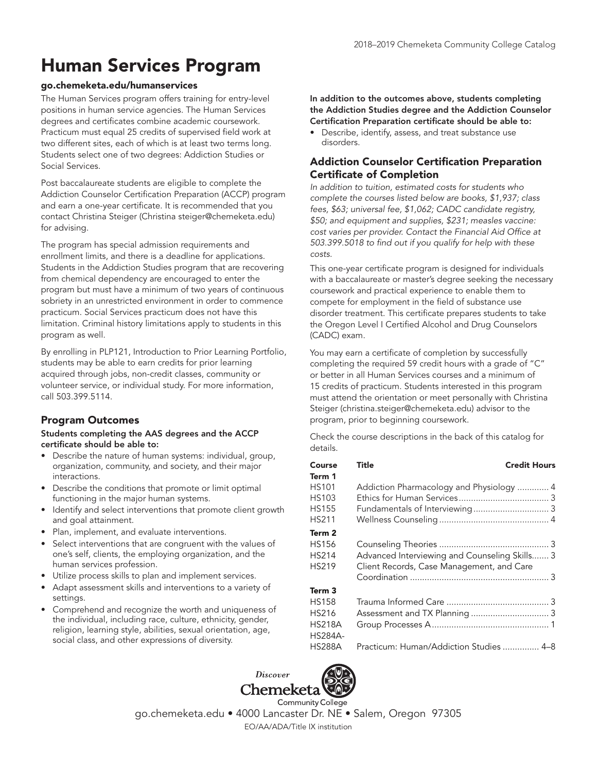# Human Services Program

#### go.chemeketa.edu/humanservices

The Human Services program offers training for entry-level positions in human service agencies. The Human Services degrees and certificates combine academic coursework. Practicum must equal 25 credits of supervised field work at two different sites, each of which is at least two terms long. Students select one of two degrees: Addiction Studies or Social Services.

Post baccalaureate students are eligible to complete the Addiction Counselor Certification Preparation (ACCP) program and earn a one-year certificate. It is recommended that you contact Christina Steiger (Christina steiger@chemeketa.edu) for advising.

The program has special admission requirements and enrollment limits, and there is a deadline for applications. Students in the Addiction Studies program that are recovering from chemical dependency are encouraged to enter the program but must have a minimum of two years of continuous sobriety in an unrestricted environment in order to commence practicum. Social Services practicum does not have this limitation. Criminal history limitations apply to students in this program as well.

By enrolling in PLP121, Introduction to Prior Learning Portfolio, students may be able to earn credits for prior learning acquired through jobs, non-credit classes, community or volunteer service, or individual study. For more information, call 503.399.5114.

## Program Outcomes

#### Students completing the AAS degrees and the ACCP certificate should be able to:

- Describe the nature of human systems: individual, group, organization, community, and society, and their major interactions.
- Describe the conditions that promote or limit optimal functioning in the major human systems.
- Identify and select interventions that promote client growth and goal attainment.
- Plan, implement, and evaluate interventions.
- Select interventions that are congruent with the values of one's self, clients, the employing organization, and the human services profession.
- Utilize process skills to plan and implement services.
- Adapt assessment skills and interventions to a variety of settings.
- Comprehend and recognize the worth and uniqueness of the individual, including race, culture, ethnicity, gender, religion, learning style, abilities, sexual orientation, age, social class, and other expressions of diversity.

In addition to the outcomes above, students completing the Addiction Studies degree and the Addiction Counselor Certification Preparation certificate should be able to:

Describe, identify, assess, and treat substance use disorders.

# Addiction Counselor Certification Preparation Certificate of Completion

In addition to tuition, estimated costs for students who complete the courses listed below are books, \$1,937; class fees, \$63; universal fee, \$1,062; CADC candidate registry, \$50; and equipment and supplies, \$231; measles vaccine: cost varies per provider. Contact the Financial Aid Office at 503.399.5018 to find out if you qualify for help with these costs.

This one-year certificate program is designed for individuals with a baccalaureate or master's degree seeking the necessary coursework and practical experience to enable them to compete for employment in the field of substance use disorder treatment. This certificate prepares students to take the Oregon Level I Certified Alcohol and Drug Counselors (CADC) exam.

You may earn a certificate of completion by successfully completing the required 59 credit hours with a grade of "C" or better in all Human Services courses and a minimum of 15 credits of practicum. Students interested in this program must attend the orientation or meet personally with Christina Steiger (christina.steiger@chemeketa.edu) advisor to the program, prior to beginning coursework.

Check the course descriptions in the back of this catalog for details.

| Course         | Title                                         | <b>Credit Hours</b> |
|----------------|-----------------------------------------------|---------------------|
| Term 1         |                                               |                     |
| <b>HS101</b>   | Addiction Pharmacology and Physiology  4      |                     |
| HS103          |                                               |                     |
| <b>HS155</b>   |                                               |                     |
| <b>HS211</b>   |                                               |                     |
| Term 2         |                                               |                     |
| HS156          |                                               |                     |
| <b>HS214</b>   | Advanced Interviewing and Counseling Skills 3 |                     |
| HS219          | Client Records, Case Management, and Care     |                     |
|                |                                               |                     |
| Term 3         |                                               |                     |
| HS158          |                                               |                     |
| <b>HS216</b>   |                                               |                     |
| HS218A         |                                               |                     |
| <b>HS284A-</b> |                                               |                     |
| HS288A         | Practicum: Human/Addiction Studies  4–8       |                     |
|                |                                               |                     |



go.chemeketa.edu • 4000 Lancaster Dr. NE • Salem, Oregon 97305 EO/AA/ADA/Title IX institution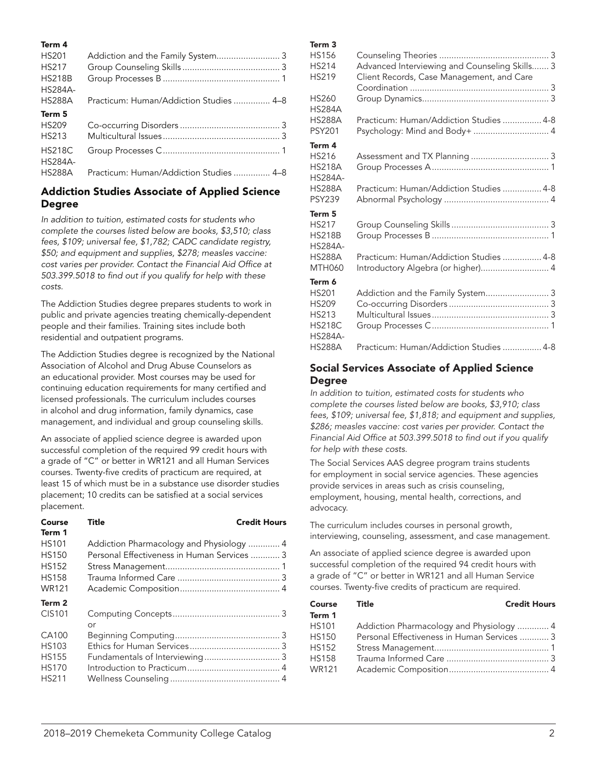#### Term 4

| <b>HS201</b>   | Addiction and the Family System 3       |
|----------------|-----------------------------------------|
| <b>HS217</b>   |                                         |
| <b>HS218B</b>  |                                         |
| <b>HS284A-</b> |                                         |
| <b>HS288A</b>  | Practicum: Human/Addiction Studies  4–8 |
| Term 5         |                                         |
| <b>HS209</b>   |                                         |
| <b>HS213</b>   |                                         |
| <b>HS218C</b>  |                                         |
| <b>HS284A-</b> |                                         |
| <b>HS288A</b>  | Practicum: Human/Addiction Studies  4–8 |

# Addiction Studies Associate of Applied Science Degree

In addition to tuition, estimated costs for students who complete the courses listed below are books, \$3,510; class fees, \$109; universal fee, \$1,782; CADC candidate registry, \$50; and equipment and supplies, \$278; measles vaccine: cost varies per provider. Contact the Financial Aid Office at 503.399.5018 to find out if you qualify for help with these costs.

The Addiction Studies degree prepares students to work in public and private agencies treating chemically-dependent people and their families. Training sites include both residential and outpatient programs.

The Addiction Studies degree is recognized by the National Association of Alcohol and Drug Abuse Counselors as an educational provider. Most courses may be used for continuing education requirements for many certified and licensed professionals. The curriculum includes courses in alcohol and drug information, family dynamics, case management, and individual and group counseling skills.

An associate of applied science degree is awarded upon successful completion of the required 99 credit hours with a grade of "C" or better in WR121 and all Human Services courses. Twenty-five credits of practicum are required, at least 15 of which must be in a substance use disorder studies placement; 10 credits can be satisfied at a social services placement.

| Course<br>Term 1 | <b>Title</b>                                | <b>Credit Hours</b> |
|------------------|---------------------------------------------|---------------------|
| <b>HS101</b>     | Addiction Pharmacology and Physiology  4    |                     |
| <b>HS150</b>     | Personal Effectiveness in Human Services  3 |                     |
| <b>HS152</b>     |                                             |                     |
| <b>HS158</b>     |                                             |                     |
| <b>WR121</b>     |                                             |                     |
| Term 2           |                                             |                     |
| CIS101           |                                             |                     |
|                  | or                                          |                     |
| CA100            |                                             |                     |
| <b>HS103</b>     |                                             |                     |
| <b>HS155</b>     |                                             |                     |
| <b>HS170</b>     |                                             |                     |
| <b>HS211</b>     |                                             |                     |

#### Term 3

| <b>HS156</b><br><b>HS214</b><br>HS219                                              | Advanced Interviewing and Counseling Skills 3<br>Client Records, Case Management, and Care |  |
|------------------------------------------------------------------------------------|--------------------------------------------------------------------------------------------|--|
| HS260<br><b>HS284A</b>                                                             |                                                                                            |  |
| <b>HS288A</b><br><b>PSY201</b>                                                     | Practicum: Human/Addiction Studies  4-8<br>Psychology: Mind and Body+  4                   |  |
| Term 4<br><b>HS216</b><br><b>HS218A</b><br><b>HS284A-</b>                          |                                                                                            |  |
| <b>HS288A</b><br><b>PSY239</b>                                                     | Practicum: Human/Addiction Studies  4-8                                                    |  |
| Term 5<br><b>HS217</b><br><b>HS218B</b><br><b>HS284A-</b>                          |                                                                                            |  |
| <b>HS288A</b><br><b>MTH060</b>                                                     | Practicum: Human/Addiction Studies  4-8<br>Introductory Algebra (or higher) 4              |  |
| Term 6<br><b>HS201</b><br><b>HS209</b><br>HS213<br><b>HS218C</b><br><b>HS284A-</b> | Addiction and the Family System 3                                                          |  |
| <b>HS288A</b>                                                                      | Practicum: Human/Addiction Studies  4-8                                                    |  |

## Social Services Associate of Applied Science Degree

In addition to tuition, estimated costs for students who complete the courses listed below are books, \$3,910; class fees, \$109; universal fee, \$1,818; and equipment and supplies, \$286; measles vaccine: cost varies per provider. Contact the Financial Aid Office at 503.399.5018 to find out if you qualify for help with these costs.

The Social Services AAS degree program trains students for employment in social service agencies. These agencies provide services in areas such as crisis counseling, employment, housing, mental health, corrections, and advocacy.

The curriculum includes courses in personal growth, interviewing, counseling, assessment, and case management.

An associate of applied science degree is awarded upon successful completion of the required 94 credit hours with a grade of "C" or better in WR121 and all Human Service courses. Twenty-five credits of practicum are required.

| Course Title | <b>Credit Hours</b>                         |  |
|--------------|---------------------------------------------|--|
| Term 1       |                                             |  |
| HS101        | Addiction Pharmacology and Physiology  4    |  |
| <b>HS150</b> | Personal Effectiveness in Human Services  3 |  |
| HS152        |                                             |  |
| <b>HS158</b> |                                             |  |
| WR121        |                                             |  |
|              |                                             |  |